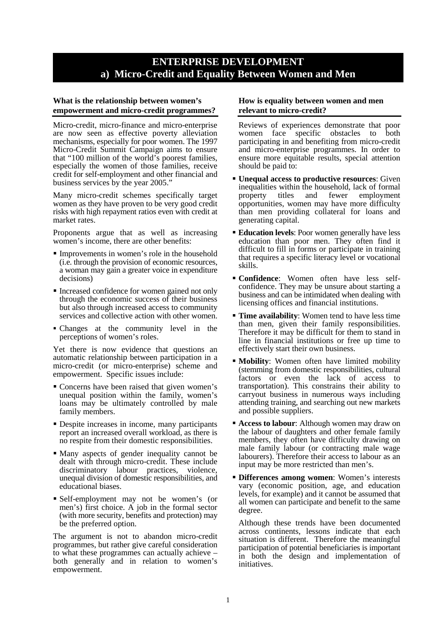## **ENTERPRISE DEVELOPMENT a) Micro-Credit and Equality Between Women and Men**

## **What is the relationship between women's empowerment and micro-credit programmes?**

Micro-credit, micro-finance and micro-enterprise are now seen as effective poverty alleviation mechanisms, especially for poor women. The 1997 Micro-Credit Summit Campaign aims to ensure that "100 million of the world's poorest families, especially the women of those families, receive credit for self-employment and other financial and business services by the year 2005.'

Many micro-credit schemes specifically target women as they have proven to be very good credit risks with high repayment ratios even with credit at market rates.

Proponents argue that as well as increasing women's income, there are other benefits:

- Improvements in women's role in the household (i.e. through the provision of economic resources, a woman may gain a greater voice in expenditure decisions)
- Increased confidence for women gained not only through the economic success of their business but also through increased access to community services and collective action with other women.
- Changes at the community level in the perceptions of women's roles.

Yet there is now evidence that questions an automatic relationship between participation in a micro-credit (or micro-enterprise) scheme and empowerment. Specific issues include:

- Concerns have been raised that given women's unequal position within the family, women's loans may be ultimately controlled by male family members.
- Despite increases in income, many participants report an increased overall workload, as there is no respite from their domestic responsibilities.
- Many aspects of gender inequality cannot be dealt with through micro-credit. These include discriminatory labour practices, violence, unequal division of domestic responsibilities, and educational biases.
- Self-employment may not be women's (or men's) first choice. A job in the formal sector (with more security, benefits and protection) may be the preferred option.

The argument is not to abandon micro-credit programmes, but rather give careful consideration to what these programmes can actually achieve – both generally and in relation to women's empowerment.

## **How is equality between women and men relevant to micro-credit?**

Reviews of experiences demonstrate that poor women face specific obstacles to both participating in and benefiting from micro-credit and micro-enterprise programmes. In order to ensure more equitable results, special attention should be paid to:

- **Unequal access to productive resources**: Given inequalities within the household, lack of formal property titles and fewer employment opportunities, women may have more difficulty than men providing collateral for loans and generating capital.
- **Education levels:** Poor women generally have less education than poor men. They often find it difficult to fill in forms or participate in training that requires a specific literacy level or vocational skills.
- **Confidence**: Women often have less selfconfidence. They may be unsure about starting a business and can be intimidated when dealing with licensing offices and financial institutions.
- **Time availability:** Women tend to have less time than men, given their family responsibilities. Therefore it may be difficult for them to stand in line in financial institutions or free up time to effectively start their own business.
- **Mobility**: Women often have limited mobility (stemming from domestic responsibilities, cultural factors or even the lack of access to transportation). This constrains their ability to carryout business in numerous ways including attending training, and searching out new markets and possible suppliers.
- **Access to labour:** Although women may draw on the labour of daughters and other female family members, they often have difficulty drawing on male family labour (or contracting male wage labourers). Therefore their access to labour as an input may be more restricted than men's.
- **Differences among women**: Women's interests vary (economic position, age, and education levels, for example) and it cannot be assumed that all women can participate and benefit to the same degree.

Although these trends have been documented across continents, lessons indicate that each situation is different. Therefore the meaningful participation of potential beneficiaries is important in both the design and implementation of initiatives.